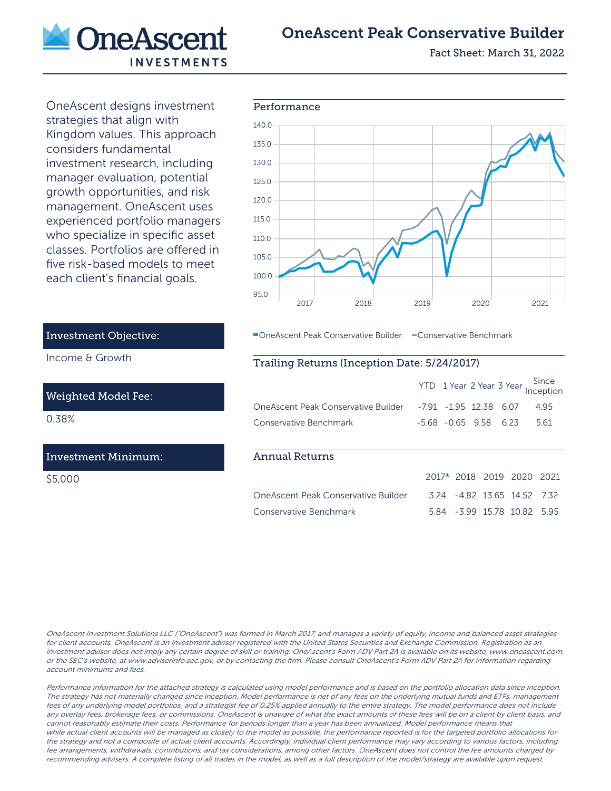

# OneAscent Peak Conservative Builder

Fact Sheet: March 31, 2022

OneAscent designs investment strategies that align with Kingdom values. This approach considers fundamental investment research, including manager evaluation, potential growth opportunities, and risk management. OneAscent uses experienced portfolio managers who specialize in specific asset classes. Portfolios are offered in five risk-based models to meet each client's financial goals.



**-OneAscent Peak Conservative Builder - Conservative Benchmark** 

### Trailing Returns (Inception Date: 5/24/2017)

|                                                                   |  |  | YTD 1 Year 2 Year 3 Year Since |
|-------------------------------------------------------------------|--|--|--------------------------------|
| OneAscent Peak Conservative Builder - 7.91 - 1.95 12.38 6.07 4.95 |  |  |                                |
| Conservative Benchmark                                            |  |  | $-5.68$ $-0.65$ 9.58 6.23 5.61 |

#### Annual Returns

|                                     | 2017* 2018 2019 2020 2021 |  |                             |  |
|-------------------------------------|---------------------------|--|-----------------------------|--|
| OneAscent Peak Conservative Builder |                           |  | 3.24 -4.82 13.65 14.52 7.32 |  |
| Conservative Benchmark              |                           |  | 5.84 -3.99 15.78 10.82 5.95 |  |

OneAscent Investment Solutions LLC ("OneAscent") was formed in March 2017, and manages a variety of equity, income and balanced asset strategies for client accounts. OneAscent is an investment adviser registered with the United States Securities and Exchange Commission. Registration as an investment adviser does not imply any certain degree of skill or training. OneAscent's Form ADV Part 2A is available on its website, www.oneascent.com, or the SEC's website, at www.adviserinfo.sec.gov, or by contacting the firm. Please consult OneAscent's Form ADV Part 2A for information regarding account minimums and fees.

Performance information for the attached strategy is calculated using model performance and is based on the portfolio allocation data since inception. The strategy has not materially changed since inception. Model performance is net of any fees on the underlying mutual funds and ETFs, management fees of any underlying model portfolios, and a strategist fee of 0.25% applied annually to the entire strategy. The model performance does not include any overlay fees, brokerage fees, or commissions. OneAscent is unaware of what the exact amounts of these fees will be on a client by client basis, and cannot reasonably estimate their costs. Performance for periods longer than a year has been annualized. Model performance means that while actual client accounts will be managed as closely to the model as possible, the performance reported is for the targeted portfolio allocations for the strategy and not a composite of actual client accounts. Accordingly, individual client performance may vary according to various factors, including fee arrangements, withdrawals, contributions, and tax considerations, among other factors. OneAscent does not control the fee amounts charged by recommending advisers. A complete listing of all trades in the model, as well as a full description of the model/strategy are available upon request.

## Investment Objective:

Income & Growth

#### Weighted Model Fee:

0.38%

### Investment Minimum:

\$5,000